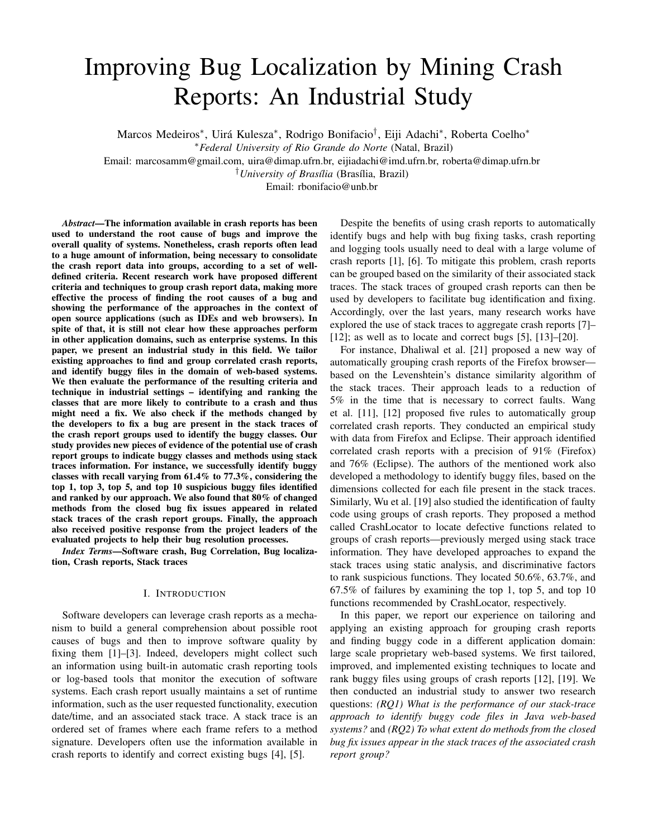# Improving Bug Localization by Mining Crash Reports: An Industrial Study

Marcos Medeiros\*, Uirá Kulesza\*, Rodrigo Bonifacio<sup>†</sup>, Eiji Adachi\*, Roberta Coelho\*

Email: marcosamm@gmail.com, uira@dimap.ufrn.br, eijiadachi@imd.ufrn.br, roberta@dimap.ufrn.br

<sup>†</sup>University of Brasília (Brasília, Brazil)

Email: rbonifacio@unb.br

*Abstract*—The information available in crash reports has been used to understand the root cause of bugs and improve the overall quality of systems. Nonetheless, crash reports often lead to a huge amount of information, being necessary to consolidate the crash report data into groups, according to a set of welldefined criteria. Recent research work have proposed different criteria and techniques to group crash report data, making more effective the process of finding the root causes of a bug and showing the performance of the approaches in the context of open source applications (such as IDEs and web browsers). In spite of that, it is still not clear how these approaches perform in other application domains, such as enterprise systems. In this paper, we present an industrial study in this field. We tailor existing approaches to find and group correlated crash reports, and identify buggy files in the domain of web-based systems. We then evaluate the performance of the resulting criteria and technique in industrial settings – identifying and ranking the classes that are more likely to contribute to a crash and thus might need a fix. We also check if the methods changed by the developers to fix a bug are present in the stack traces of the crash report groups used to identify the buggy classes. Our study provides new pieces of evidence of the potential use of crash report groups to indicate buggy classes and methods using stack traces information. For instance, we successfully identify buggy classes with recall varying from 61.4% to 77.3%, considering the top 1, top 3, top 5, and top 10 suspicious buggy files identified and ranked by our approach. We also found that 80% of changed methods from the closed bug fix issues appeared in related stack traces of the crash report groups. Finally, the approach also received positive response from the project leaders of the evaluated projects to help their bug resolution processes.

*Index Terms*—Software crash, Bug Correlation, Bug localization, Crash reports, Stack traces

## I. INTRODUCTION

Software developers can leverage crash reports as a mechanism to build a general comprehension about possible root causes of bugs and then to improve software quality by fixing them [1]–[3]. Indeed, developers might collect such an information using built-in automatic crash reporting tools or log-based tools that monitor the execution of software systems. Each crash report usually maintains a set of runtime information, such as the user requested functionality, execution date/time, and an associated stack trace. A stack trace is an ordered set of frames where each frame refers to a method signature. Developers often use the information available in crash reports to identify and correct existing bugs [4], [5].

Despite the benefits of using crash reports to automatically identify bugs and help with bug fixing tasks, crash reporting and logging tools usually need to deal with a large volume of crash reports [1], [6]. To mitigate this problem, crash reports can be grouped based on the similarity of their associated stack traces. The stack traces of grouped crash reports can then be used by developers to facilitate bug identification and fixing. Accordingly, over the last years, many research works have explored the use of stack traces to aggregate crash reports [7]– [12]; as well as to locate and correct bugs [5], [13]–[20].

For instance, Dhaliwal et al. [21] proposed a new way of automatically grouping crash reports of the Firefox browser based on the Levenshtein's distance similarity algorithm of the stack traces. Their approach leads to a reduction of 5% in the time that is necessary to correct faults. Wang et al. [11], [12] proposed five rules to automatically group correlated crash reports. They conducted an empirical study with data from Firefox and Eclipse. Their approach identified correlated crash reports with a precision of 91% (Firefox) and 76% (Eclipse). The authors of the mentioned work also developed a methodology to identify buggy files, based on the dimensions collected for each file present in the stack traces. Similarly, Wu et al. [19] also studied the identification of faulty code using groups of crash reports. They proposed a method called CrashLocator to locate defective functions related to groups of crash reports—previously merged using stack trace information. They have developed approaches to expand the stack traces using static analysis, and discriminative factors to rank suspicious functions. They located 50.6%, 63.7%, and 67.5% of failures by examining the top 1, top 5, and top 10 functions recommended by CrashLocator, respectively.

In this paper, we report our experience on tailoring and applying an existing approach for grouping crash reports and finding buggy code in a different application domain: large scale proprietary web-based systems. We first tailored, improved, and implemented existing techniques to locate and rank buggy files using groups of crash reports [12], [19]. We then conducted an industrial study to answer two research questions: *(RQ1) What is the performance of our stack-trace approach to identify buggy code files in Java web-based systems?* and *(RQ2) To what extent do methods from the closed bug fix issues appear in the stack traces of the associated crash report group?*

<sup>∗</sup>*Federal University of Rio Grande do Norte* (Natal, Brazil)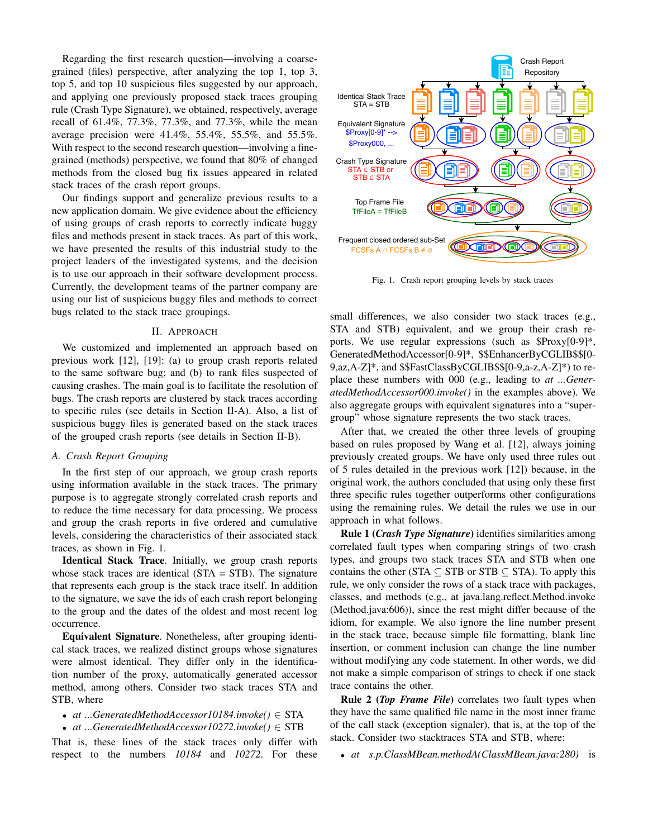Regarding the first research question—involving a coarsegrained (files) perspective, after analyzing the top 1, top 3, top 5, and top 10 suspicious files suggested by our approach, and applying one previously proposed stack traces grouping rule (Crash Type Signature), we obtained, respectively, average recall of 61.4%, 77.3%, 77.3%, and 77.3%, while the mean average precision were 41.4%, 55.4%, 55.5%, and 55.5%. With respect to the second research question—involving a finegrained (methods) perspective, we found that 80% of changed methods from the closed bug fix issues appeared in related stack traces of the crash report groups.

Our findings support and generalize previous results to a new application domain. We give evidence about the efficiency of using groups of crash reports to correctly indicate buggy files and methods present in stack traces. As part of this work, we have presented the results of this industrial study to the project leaders of the investigated systems, and the decision is to use our approach in their software development process. Currently, the development teams of the partner company are using our list of suspicious buggy files and methods to correct bugs related to the stack trace groupings.

### II. APPROACH

We customized and implemented an approach based on previous work [12], [19]: (a) to group crash reports related to the same software bug; and (b) to rank files suspected of causing crashes. The main goal is to facilitate the resolution of bugs. The crash reports are clustered by stack traces according to specific rules (see details in Section II-A). Also, a list of suspicious buggy files is generated based on the stack traces of the grouped crash reports (see details in Section II-B).

### *A. Crash Report Grouping*

In the first step of our approach, we group crash reports using information available in the stack traces. The primary purpose is to aggregate strongly correlated crash reports and to reduce the time necessary for data processing. We process and group the crash reports in five ordered and cumulative levels, considering the characteristics of their associated stack traces, as shown in Fig. 1.

Identical Stack Trace. Initially, we group crash reports whose stack traces are identical (STA = STB). The signature that represents each group is the stack trace itself. In addition to the signature, we save the ids of each crash report belonging to the group and the dates of the oldest and most recent log occurrence.

Equivalent Signature. Nonetheless, after grouping identical stack traces, we realized distinct groups whose signatures were almost identical. They differ only in the identification number of the proxy, automatically generated accessor method, among others. Consider two stack traces STA and STB, where

- *at ...GeneratedMethodAccessor10184.invoke()* ∈ STA
- *at ...GeneratedMethodAccessor10272.invoke()* ∈ STB

That is, these lines of the stack traces only differ with respect to the numbers *10184* and *10272*. For these



Fig. 1. Crash report grouping levels by stack traces

small differences, we also consider two stack traces (e.g., STA and STB) equivalent, and we group their crash reports. We use regular expressions (such as \$Proxy[0-9]\*, GeneratedMethodAccessor[0-9]\*, \$\$EnhancerByCGLIB\$\$[0- 9,az,A-Z]\*, and \$\$FastClassByCGLIB\$\$[0-9,a-z,A-Z]\*) to replace these numbers with 000 (e.g., leading to *at ...GeneratedMethodAccessor000.invoke()* in the examples above). We also aggregate groups with equivalent signatures into a "supergroup" whose signature represents the two stack traces.

After that, we created the other three levels of grouping based on rules proposed by Wang et al. [12], always joining previously created groups. We have only used three rules out of 5 rules detailed in the previous work [12]) because, in the original work, the authors concluded that using only these first three specific rules together outperforms other configurations using the remaining rules. We detail the rules we use in our approach in what follows.

Rule 1 (*Crash Type Signature*) identifies similarities among correlated fault types when comparing strings of two crash types, and groups two stack traces STA and STB when one contains the other (STA  $\subseteq$  STB or STB  $\subseteq$  STA). To apply this rule, we only consider the rows of a stack trace with packages, classes, and methods (e.g., at java.lang.reflect.Method.invoke (Method.java:606)), since the rest might differ because of the idiom, for example. We also ignore the line number present in the stack trace, because simple file formatting, blank line insertion, or comment inclusion can change the line number without modifying any code statement. In other words, we did not make a simple comparison of strings to check if one stack trace contains the other.

Rule 2 (*Top Frame File*) correlates two fault types when they have the same qualified file name in the most inner frame of the call stack (exception signaler), that is, at the top of the stack. Consider two stacktraces STA and STB, where:

• *at s.p.ClassMBean.methodA(ClassMBean.java:280)* is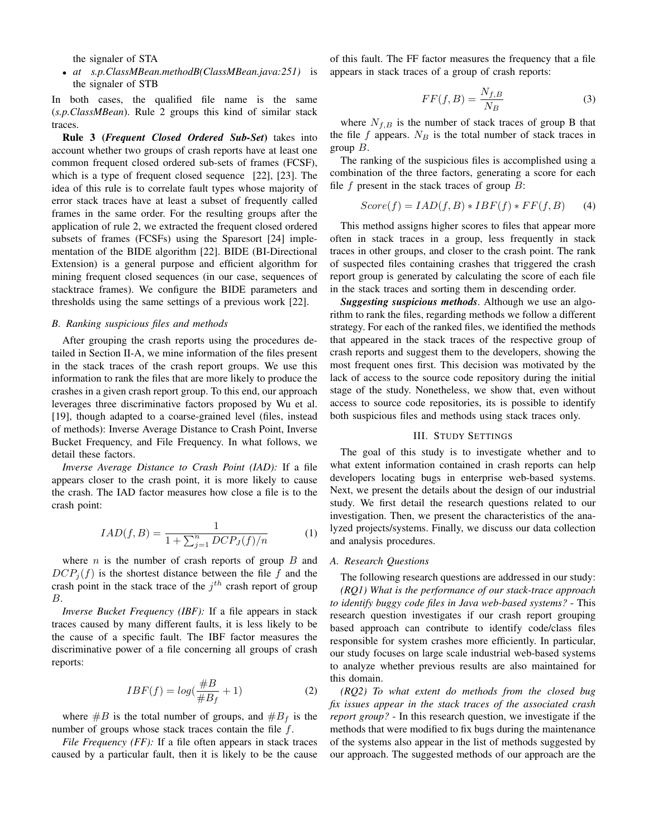the signaler of STA

• *at s.p.ClassMBean.methodB(ClassMBean.java:251)* is the signaler of STB

In both cases, the qualified file name is the same (*s.p.ClassMBean*). Rule 2 groups this kind of similar stack traces.

Rule 3 (*Frequent Closed Ordered Sub-Set*) takes into account whether two groups of crash reports have at least one common frequent closed ordered sub-sets of frames (FCSF), which is a type of frequent closed sequence [22], [23]. The idea of this rule is to correlate fault types whose majority of error stack traces have at least a subset of frequently called frames in the same order. For the resulting groups after the application of rule 2, we extracted the frequent closed ordered subsets of frames (FCSFs) using the Sparesort [24] implementation of the BIDE algorithm [22]. BIDE (BI-Directional Extension) is a general purpose and efficient algorithm for mining frequent closed sequences (in our case, sequences of stacktrace frames). We configure the BIDE parameters and thresholds using the same settings of a previous work [22].

#### *B. Ranking suspicious files and methods*

After grouping the crash reports using the procedures detailed in Section II-A, we mine information of the files present in the stack traces of the crash report groups. We use this information to rank the files that are more likely to produce the crashes in a given crash report group. To this end, our approach leverages three discriminative factors proposed by Wu et al. [19], though adapted to a coarse-grained level (files, instead of methods): Inverse Average Distance to Crash Point, Inverse Bucket Frequency, and File Frequency. In what follows, we detail these factors.

*Inverse Average Distance to Crash Point (IAD):* If a file appears closer to the crash point, it is more likely to cause the crash. The IAD factor measures how close a file is to the crash point:

$$
IAD(f, B) = \frac{1}{1 + \sum_{j=1}^{n} DCP_J(f)/n}
$$
 (1)

where *n* is the number of crash reports of group  $B$  and  $DCP<sub>i</sub>(f)$  is the shortest distance between the file f and the crash point in the stack trace of the  $j<sup>th</sup>$  crash report of group B.

*Inverse Bucket Frequency (IBF):* If a file appears in stack traces caused by many different faults, it is less likely to be the cause of a specific fault. The IBF factor measures the discriminative power of a file concerning all groups of crash reports:

$$
IBF(f) = log(\frac{\#B}{\#B_f} + 1)
$$
 (2)

where  $\#B$  is the total number of groups, and  $\#B_f$  is the number of groups whose stack traces contain the file  $f$ .

*File Frequency (FF)*: If a file often appears in stack traces caused by a particular fault, then it is likely to be the cause of this fault. The FF factor measures the frequency that a file appears in stack traces of a group of crash reports:

$$
FF(f,B) = \frac{N_{f,B}}{N_B} \tag{3}
$$

where  $N_{f,B}$  is the number of stack traces of group B that the file  $f$  appears.  $N_B$  is the total number of stack traces in group  $B$ .

The ranking of the suspicious files is accomplished using a combination of the three factors, generating a score for each file  $f$  present in the stack traces of group  $B$ :

$$
Score(f) = IAD(f, B) * IBF(f) * FF(f, B)
$$
 (4)

This method assigns higher scores to files that appear more often in stack traces in a group, less frequently in stack traces in other groups, and closer to the crash point. The rank of suspected files containing crashes that triggered the crash report group is generated by calculating the score of each file in the stack traces and sorting them in descending order.

*Suggesting suspicious methods*. Although we use an algorithm to rank the files, regarding methods we follow a different strategy. For each of the ranked files, we identified the methods that appeared in the stack traces of the respective group of crash reports and suggest them to the developers, showing the most frequent ones first. This decision was motivated by the lack of access to the source code repository during the initial stage of the study. Nonetheless, we show that, even without access to source code repositories, its is possible to identify both suspicious files and methods using stack traces only.

#### III. STUDY SETTINGS

The goal of this study is to investigate whether and to what extent information contained in crash reports can help developers locating bugs in enterprise web-based systems. Next, we present the details about the design of our industrial study. We first detail the research questions related to our investigation. Then, we present the characteristics of the analyzed projects/systems. Finally, we discuss our data collection and analysis procedures.

#### *A. Research Questions*

The following research questions are addressed in our study: *(RQ1) What is the performance of our stack-trace approach to identify buggy code files in Java web-based systems?* - This research question investigates if our crash report grouping based approach can contribute to identify code/class files responsible for system crashes more efficiently. In particular, our study focuses on large scale industrial web-based systems to analyze whether previous results are also maintained for this domain.

*(RQ2) To what extent do methods from the closed bug fix issues appear in the stack traces of the associated crash report group?* - In this research question, we investigate if the methods that were modified to fix bugs during the maintenance of the systems also appear in the list of methods suggested by our approach. The suggested methods of our approach are the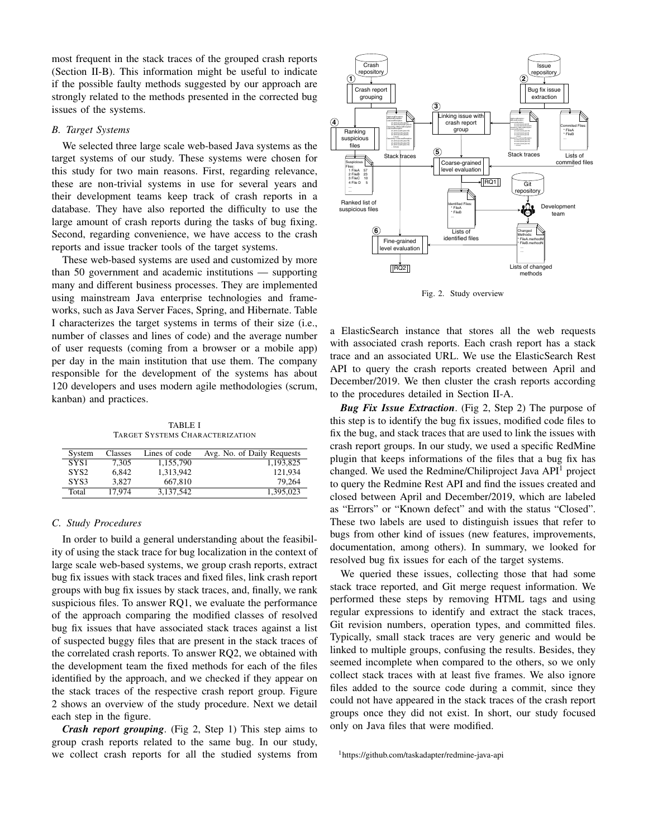most frequent in the stack traces of the grouped crash reports (Section II-B). This information might be useful to indicate if the possible faulty methods suggested by our approach are strongly related to the methods presented in the corrected bug issues of the systems.

#### *B. Target Systems*

We selected three large scale web-based Java systems as the target systems of our study. These systems were chosen for this study for two main reasons. First, regarding relevance, these are non-trivial systems in use for several years and their development teams keep track of crash reports in a database. They have also reported the difficulty to use the large amount of crash reports during the tasks of bug fixing. Second, regarding convenience, we have access to the crash reports and issue tracker tools of the target systems.

These web-based systems are used and customized by more than 50 government and academic institutions — supporting many and different business processes. They are implemented using mainstream Java enterprise technologies and frameworks, such as Java Server Faces, Spring, and Hibernate. Table I characterizes the target systems in terms of their size (i.e., number of classes and lines of code) and the average number of user requests (coming from a browser or a mobile app) per day in the main institution that use them. The company responsible for the development of the systems has about 120 developers and uses modern agile methodologies (scrum, kanban) and practices.

TABLE I TARGET SYSTEMS CHARACTERIZATION

| System           | Classes | Lines of code | Avg. No. of Daily Requests |
|------------------|---------|---------------|----------------------------|
| SYS <sub>1</sub> | 7.305   | 1.155.790     | 1.193.825                  |
| SYS <sub>2</sub> | 6.842   | 1,313,942     | 121.934                    |
| SYS3             | 3.827   | 667,810       | 79.264                     |
| Total            | 17.974  | 3.137.542     | 1,395,023                  |

## *C. Study Procedures*

In order to build a general understanding about the feasibility of using the stack trace for bug localization in the context of large scale web-based systems, we group crash reports, extract bug fix issues with stack traces and fixed files, link crash report groups with bug fix issues by stack traces, and, finally, we rank suspicious files. To answer RQ1, we evaluate the performance of the approach comparing the modified classes of resolved bug fix issues that have associated stack traces against a list of suspected buggy files that are present in the stack traces of the correlated crash reports. To answer RQ2, we obtained with the development team the fixed methods for each of the files identified by the approach, and we checked if they appear on the stack traces of the respective crash report group. Figure 2 shows an overview of the study procedure. Next we detail each step in the figure.

*Crash report grouping*. (Fig 2, Step 1) This step aims to group crash reports related to the same bug. In our study, we collect crash reports for all the studied systems from



Fig. 2. Study overview

a ElasticSearch instance that stores all the web requests with associated crash reports. Each crash report has a stack trace and an associated URL. We use the ElasticSearch Rest API to query the crash reports created between April and December/2019. We then cluster the crash reports according to the procedures detailed in Section II-A.

*Bug Fix Issue Extraction*. (Fig 2, Step 2) The purpose of this step is to identify the bug fix issues, modified code files to fix the bug, and stack traces that are used to link the issues with crash report groups. In our study, we used a specific RedMine plugin that keeps informations of the files that a bug fix has changed. We used the Redmine/Chiliproject Java API<sup>1</sup> project to query the Redmine Rest API and find the issues created and closed between April and December/2019, which are labeled as "Errors" or "Known defect" and with the status "Closed". These two labels are used to distinguish issues that refer to bugs from other kind of issues (new features, improvements, documentation, among others). In summary, we looked for resolved bug fix issues for each of the target systems.

We queried these issues, collecting those that had some stack trace reported, and Git merge request information. We performed these steps by removing HTML tags and using regular expressions to identify and extract the stack traces, Git revision numbers, operation types, and committed files. Typically, small stack traces are very generic and would be linked to multiple groups, confusing the results. Besides, they seemed incomplete when compared to the others, so we only collect stack traces with at least five frames. We also ignore files added to the source code during a commit, since they could not have appeared in the stack traces of the crash report groups once they did not exist. In short, our study focused only on Java files that were modified.

<sup>1</sup>https://github.com/taskadapter/redmine-java-api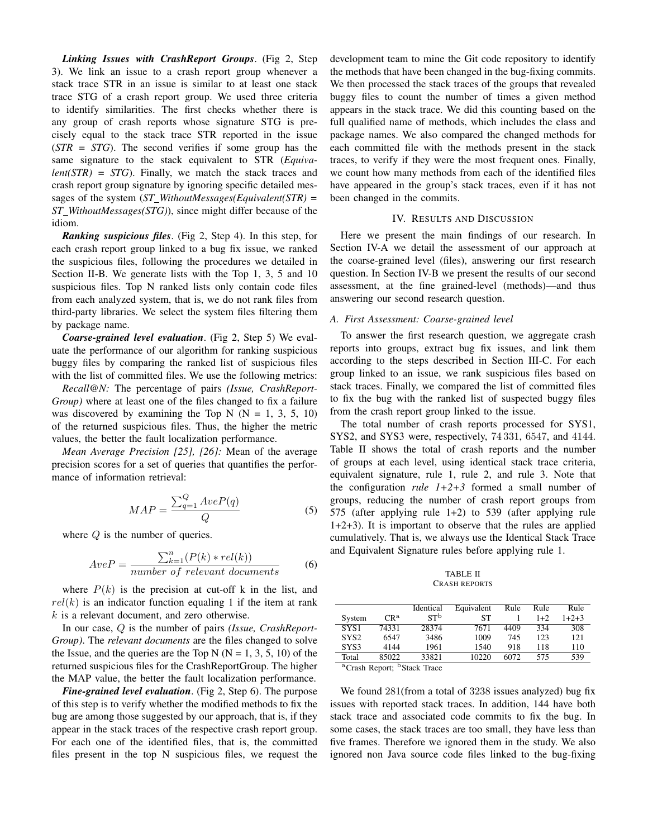*Linking Issues with CrashReport Groups*. (Fig 2, Step 3). We link an issue to a crash report group whenever a stack trace STR in an issue is similar to at least one stack trace STG of a crash report group. We used three criteria to identify similarities. The first checks whether there is any group of crash reports whose signature STG is precisely equal to the stack trace STR reported in the issue (*STR = STG*). The second verifies if some group has the same signature to the stack equivalent to STR (*Equivalent(STR) = STG*). Finally, we match the stack traces and crash report group signature by ignoring specific detailed messages of the system (*ST WithoutMessages(Equivalent(STR) = ST WithoutMessages(STG)*), since might differ because of the idiom.

*Ranking suspicious files*. (Fig 2, Step 4). In this step, for each crash report group linked to a bug fix issue, we ranked the suspicious files, following the procedures we detailed in Section II-B. We generate lists with the Top 1, 3, 5 and 10 suspicious files. Top N ranked lists only contain code files from each analyzed system, that is, we do not rank files from third-party libraries. We select the system files filtering them by package name.

*Coarse-grained level evaluation*. (Fig 2, Step 5) We evaluate the performance of our algorithm for ranking suspicious buggy files by comparing the ranked list of suspicious files with the list of committed files. We use the following metrics:

*Recall@N:* The percentage of pairs *(Issue, CrashReport-Group)* where at least one of the files changed to fix a failure was discovered by examining the Top N ( $N = 1, 3, 5, 10$ ) of the returned suspicious files. Thus, the higher the metric values, the better the fault localization performance.

*Mean Average Precision [25], [26]:* Mean of the average precision scores for a set of queries that quantifies the performance of information retrieval:

$$
MAP = \frac{\sum_{q=1}^{Q} AveP(q)}{Q}
$$
 (5)

where  $Q$  is the number of queries.

$$
AveP = \frac{\sum_{k=1}^{n} (P(k) * rel(k))}{number \ of \ relevant \ documents}
$$
 (6)

where  $P(k)$  is the precision at cut-off k in the list, and  $rel(k)$  is an indicator function equaling 1 if the item at rank  $k$  is a relevant document, and zero otherwise.

In our case, Q is the number of pairs *(Issue, CrashReport-Group)*. The *relevant documents* are the files changed to solve the Issue, and the queries are the Top N ( $N = 1, 3, 5, 10$ ) of the returned suspicious files for the CrashReportGroup. The higher the MAP value, the better the fault localization performance.

*Fine-grained level evaluation*. (Fig 2, Step 6). The purpose of this step is to verify whether the modified methods to fix the bug are among those suggested by our approach, that is, if they appear in the stack traces of the respective crash report group. For each one of the identified files, that is, the committed files present in the top N suspicious files, we request the development team to mine the Git code repository to identify the methods that have been changed in the bug-fixing commits. We then processed the stack traces of the groups that revealed buggy files to count the number of times a given method appears in the stack trace. We did this counting based on the full qualified name of methods, which includes the class and package names. We also compared the changed methods for each committed file with the methods present in the stack traces, to verify if they were the most frequent ones. Finally, we count how many methods from each of the identified files have appeared in the group's stack traces, even if it has not been changed in the commits.

### IV. RESULTS AND DISCUSSION

Here we present the main findings of our research. In Section IV-A we detail the assessment of our approach at the coarse-grained level (files), answering our first research question. In Section IV-B we present the results of our second assessment, at the fine grained-level (methods)—and thus answering our second research question.

### *A. First Assessment: Coarse-grained level*

To answer the first research question, we aggregate crash reports into groups, extract bug fix issues, and link them according to the steps described in Section III-C. For each group linked to an issue, we rank suspicious files based on stack traces. Finally, we compared the list of committed files to fix the bug with the ranked list of suspected buggy files from the crash report group linked to the issue.

The total number of crash reports processed for SYS1, SYS2, and SYS3 were, respectively, 74 331, 6547, and 4144. Table II shows the total of crash reports and the number of groups at each level, using identical stack trace criteria, equivalent signature, rule 1, rule 2, and rule 3. Note that the configuration *rule 1+2+3* formed a small number of groups, reducing the number of crash report groups from 575 (after applying rule 1+2) to 539 (after applying rule 1+2+3). It is important to observe that the rules are applied cumulatively. That is, we always use the Identical Stack Trace and Equivalent Signature rules before applying rule 1.

TABLE II CRASH REPORTS

|                  |                 | Identical       | Equivalent | Rule | Rule  | Rule    |
|------------------|-----------------|-----------------|------------|------|-------|---------|
| System           | CR <sup>a</sup> | ST <sup>b</sup> | SТ         |      | $1+2$ | $1+2+3$ |
| SYS1             | 74331           | 28374           | 7671       | 4409 | 334   | 308     |
| SYS <sub>2</sub> | 6547            | 3486            | 1009       | 745  | 123   | 121     |
| SYS3             | 4144            | 1961            | 1540       | 918  | 118   | 110     |
| Total            | 85022           | 33821           | 10220      | 6072 | 575   | 539     |

<sup>a</sup>Crash Report; <sup>b</sup>Stack Trace

We found 281(from a total of 3238 issues analyzed) bug fix issues with reported stack traces. In addition, 144 have both stack trace and associated code commits to fix the bug. In some cases, the stack traces are too small, they have less than five frames. Therefore we ignored them in the study. We also ignored non Java source code files linked to the bug-fixing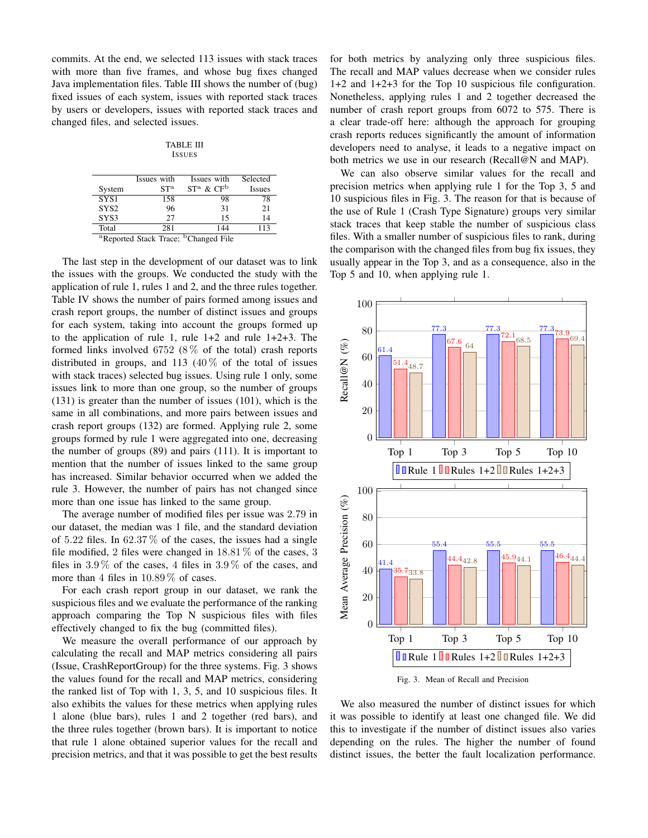commits. At the end, we selected 113 issues with stack traces with more than five frames, and whose bug fixes changed Java implementation files. Table III shows the number of (bug) fixed issues of each system, issues with reported stack traces by users or developers, issues with reported stack traces and changed files, and selected issues.

TABLE III **ISSUES** 

|                  | Issues with     | Issues with                                                  | Selected      |
|------------------|-----------------|--------------------------------------------------------------|---------------|
| System           | ST <sup>a</sup> | $ST^a \& CF^b$                                               | <b>Issues</b> |
| SYS1             | 158             | 98                                                           | 78            |
| SYS <sub>2</sub> | 96              | 31                                                           | 21            |
| SYS3             | 27              | 15                                                           | 14            |
| Total            | 281             | 144                                                          | 113           |
|                  |                 | <sup>a</sup> Reported Stack Trace; <sup>b</sup> Changed File |               |

The last step in the development of our dataset was to link the issues with the groups. We conducted the study with the application of rule 1, rules 1 and 2, and the three rules together. Table IV shows the number of pairs formed among issues and crash report groups, the number of distinct issues and groups for each system, taking into account the groups formed up to the application of rule 1, rule 1+2 and rule 1+2+3. The formed links involved  $6752 (8\%$  of the total) crash reports distributed in groups, and 113  $(40\% \text{ of the total of issues})$ with stack traces) selected bug issues. Using rule 1 only, some issues link to more than one group, so the number of groups (131) is greater than the number of issues (101), which is the same in all combinations, and more pairs between issues and crash report groups (132) are formed. Applying rule 2, some groups formed by rule 1 were aggregated into one, decreasing the number of groups (89) and pairs (111). It is important to mention that the number of issues linked to the same group has increased. Similar behavior occurred when we added the rule 3. However, the number of pairs has not changed since more than one issue has linked to the same group.

The average number of modified files per issue was 2.79 in our dataset, the median was 1 file, and the standard deviation of 5.22 files. In 62.37% of the cases, the issues had a single file modified, 2 files were changed in  $18.81\%$  of the cases, 3 files in  $3.9\%$  of the cases, 4 files in  $3.9\%$  of the cases, and more than 4 files in  $10.89\%$  of cases.

For each crash report group in our dataset, we rank the suspicious files and we evaluate the performance of the ranking approach comparing the Top N suspicious files with files effectively changed to fix the bug (committed files).

We measure the overall performance of our approach by calculating the recall and MAP metrics considering all pairs (Issue, CrashReportGroup) for the three systems. Fig. 3 shows the values found for the recall and MAP metrics, considering the ranked list of Top with 1, 3, 5, and 10 suspicious files. It also exhibits the values for these metrics when applying rules 1 alone (blue bars), rules 1 and 2 together (red bars), and the three rules together (brown bars). It is important to notice that rule 1 alone obtained superior values for the recall and precision metrics, and that it was possible to get the best results

for both metrics by analyzing only three suspicious files. The recall and MAP values decrease when we consider rules 1+2 and 1+2+3 for the Top 10 suspicious file configuration. Nonetheless, applying rules 1 and 2 together decreased the number of crash report groups from 6072 to 575. There is a clear trade-off here: although the approach for grouping crash reports reduces significantly the amount of information developers need to analyse, it leads to a negative impact on both metrics we use in our research (Recall@N and MAP).

We can also observe similar values for the recall and precision metrics when applying rule 1 for the Top 3, 5 and 10 suspicious files in Fig. 3. The reason for that is because of the use of Rule 1 (Crash Type Signature) groups very similar stack traces that keep stable the number of suspicious class files. With a smaller number of suspicious files to rank, during the comparison with the changed files from bug fix issues, they usually appear in the Top 3, and as a consequence, also in the Top 5 and 10, when applying rule 1.



Fig. 3. Mean of Recall and Precision

We also measured the number of distinct issues for which it was possible to identify at least one changed file. We did this to investigate if the number of distinct issues also varies depending on the rules. The higher the number of found distinct issues, the better the fault localization performance.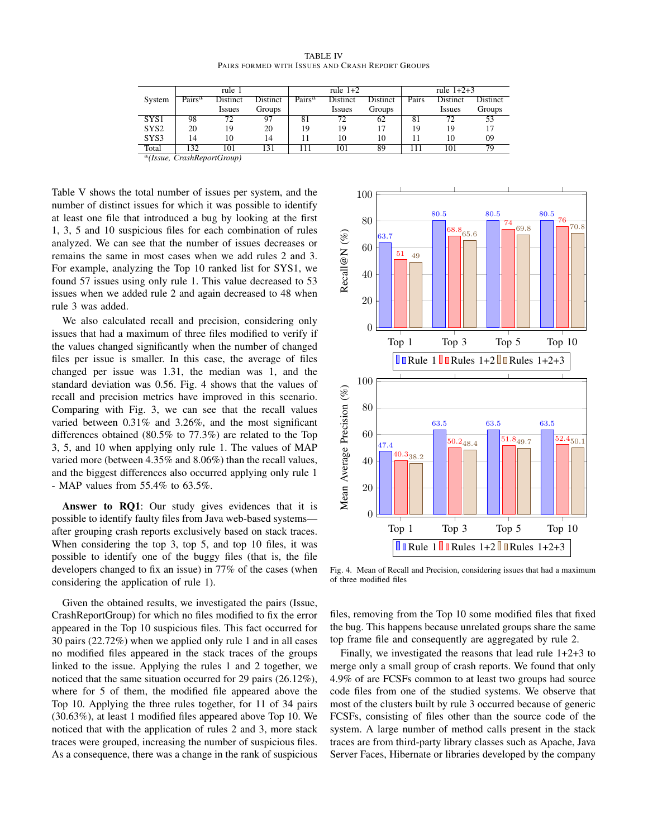| <b>TABLE IV</b>                                  |  |  |  |  |  |  |  |  |  |
|--------------------------------------------------|--|--|--|--|--|--|--|--|--|
| PAIRS FORMED WITH ISSUES AND CRASH REPORT GROUPS |  |  |  |  |  |  |  |  |  |

|                  | rule 1             |          |          |                    | rule $1+2$    |          | rule $1+2+3$ |               |                 |  |
|------------------|--------------------|----------|----------|--------------------|---------------|----------|--------------|---------------|-----------------|--|
| System           | Pairs <sup>a</sup> | Distinct | Distinct | Pairs <sup>a</sup> | Distinct      | Distinct | Pairs        | Distinct      | <b>Distinct</b> |  |
|                  |                    | Issues   | Groups   |                    | <i>Issues</i> | Groups   |              | <b>Issues</b> | Groups          |  |
| SYS1             | 98                 | 72       | 97       | 81                 | 72            | 62       | 81           | 72            | 53              |  |
| SYS <sub>2</sub> | 20                 | 19       | 20       | 19                 | 19            |          | 19           | 19            |                 |  |
| SYS3             | 14                 | 10       | 14       |                    | 10            | 10       |              | 10            | 09              |  |
| Total            | 32                 | 101      | 131      |                    | 101           | 89       | 111          | 101           | 79              |  |

a *(Issue, CrashReportGroup)*

Table V shows the total number of issues per system, and the number of distinct issues for which it was possible to identify at least one file that introduced a bug by looking at the first 1, 3, 5 and 10 suspicious files for each combination of rules analyzed. We can see that the number of issues decreases or remains the same in most cases when we add rules 2 and 3. For example, analyzing the Top 10 ranked list for SYS1, we found 57 issues using only rule 1. This value decreased to 53 issues when we added rule 2 and again decreased to 48 when rule 3 was added.

We also calculated recall and precision, considering only issues that had a maximum of three files modified to verify if the values changed significantly when the number of changed files per issue is smaller. In this case, the average of files changed per issue was 1.31, the median was 1, and the standard deviation was 0.56. Fig. 4 shows that the values of recall and precision metrics have improved in this scenario. Comparing with Fig. 3, we can see that the recall values varied between 0.31% and 3.26%, and the most significant differences obtained (80.5% to 77.3%) are related to the Top 3, 5, and 10 when applying only rule 1. The values of MAP varied more (between 4.35% and 8.06%) than the recall values, and the biggest differences also occurred applying only rule 1 - MAP values from 55.4% to 63.5%.

Answer to RQ1: Our study gives evidences that it is possible to identify faulty files from Java web-based systems after grouping crash reports exclusively based on stack traces. When considering the top 3, top 5, and top 10 files, it was possible to identify one of the buggy files (that is, the file developers changed to fix an issue) in 77% of the cases (when considering the application of rule 1).

Given the obtained results, we investigated the pairs (Issue, CrashReportGroup) for which no files modified to fix the error appeared in the Top 10 suspicious files. This fact occurred for 30 pairs (22.72%) when we applied only rule 1 and in all cases no modified files appeared in the stack traces of the groups linked to the issue. Applying the rules 1 and 2 together, we noticed that the same situation occurred for 29 pairs (26.12%), where for 5 of them, the modified file appeared above the Top 10. Applying the three rules together, for 11 of 34 pairs (30.63%), at least 1 modified files appeared above Top 10. We noticed that with the application of rules 2 and 3, more stack traces were grouped, increasing the number of suspicious files. As a consequence, there was a change in the rank of suspicious



Fig. 4. Mean of Recall and Precision, considering issues that had a maximum of three modified files

files, removing from the Top 10 some modified files that fixed the bug. This happens because unrelated groups share the same top frame file and consequently are aggregated by rule 2.

Finally, we investigated the reasons that lead rule 1+2+3 to merge only a small group of crash reports. We found that only 4.9% of are FCSFs common to at least two groups had source code files from one of the studied systems. We observe that most of the clusters built by rule 3 occurred because of generic FCSFs, consisting of files other than the source code of the system. A large number of method calls present in the stack traces are from third-party library classes such as Apache, Java Server Faces, Hibernate or libraries developed by the company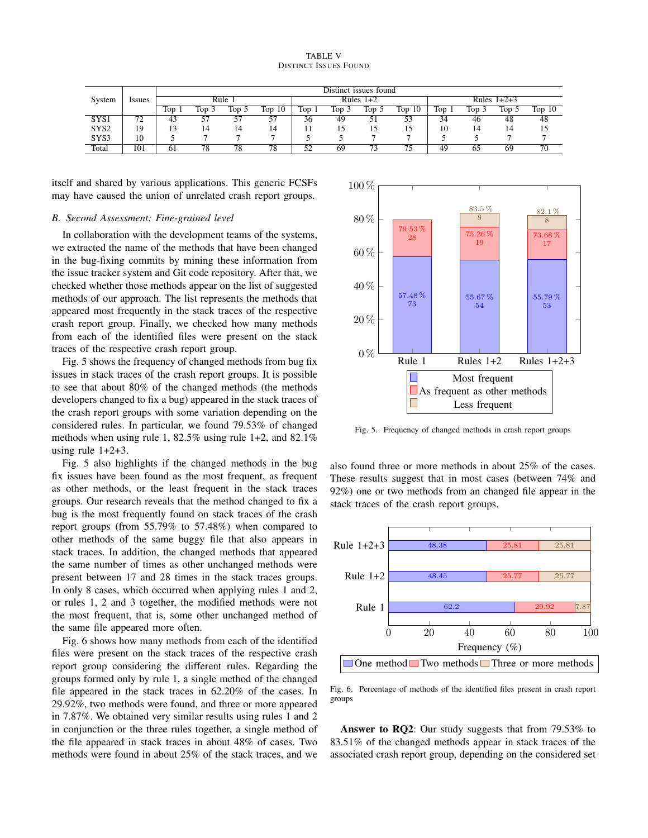|                  |              | Distinct issues found |                       |      |           |             |     |              |           |               |     |       |                   |
|------------------|--------------|-----------------------|-----------------------|------|-----------|-------------|-----|--------------|-----------|---------------|-----|-------|-------------------|
| System           | <i>ssues</i> | Rule                  |                       |      |           | Rules $1+2$ |     |              |           | Rules $1+2+3$ |     |       |                   |
|                  |              | Top                   | $\Gamma$ <sub>O</sub> | 1op. | 10<br>Top | $\Gamma$ op | Top | Top          | 10<br>Top | Top           | Top | Top 5 | Top <sub>10</sub> |
| SYS1             | 72           | 43                    | 57                    | J.   | ◡         | 36          | 49  | ◡            | 53        | 34            | 46  | 48    | 48                |
| SYS <sub>2</sub> | 19           |                       | 14                    |      | 14        |             |     |              |           | 10            |     | 14    |                   |
| SYS3             | 10           |                       | $\overline{ }$        |      |           |             |     |              |           |               |     |       |                   |
| Total            | 101          | 61                    | 78                    | 78   | 78        | 50          | 69  | $\mathbf{a}$ | 75        | 49            | 65  | 69    | 70                |

itself and shared by various applications. This generic FCSFs may have caused the union of unrelated crash report groups.

#### *B. Second Assessment: Fine-grained level*

In collaboration with the development teams of the systems, we extracted the name of the methods that have been changed in the bug-fixing commits by mining these information from the issue tracker system and Git code repository. After that, we checked whether those methods appear on the list of suggested methods of our approach. The list represents the methods that appeared most frequently in the stack traces of the respective crash report group. Finally, we checked how many methods from each of the identified files were present on the stack traces of the respective crash report group.

Fig. 5 shows the frequency of changed methods from bug fix issues in stack traces of the crash report groups. It is possible to see that about 80% of the changed methods (the methods developers changed to fix a bug) appeared in the stack traces of the crash report groups with some variation depending on the considered rules. In particular, we found 79.53% of changed methods when using rule 1, 82.5% using rule 1+2, and 82.1% using rule  $1+2+3$ .

Fig. 5 also highlights if the changed methods in the bug fix issues have been found as the most frequent, as frequent as other methods, or the least frequent in the stack traces groups. Our research reveals that the method changed to fix a bug is the most frequently found on stack traces of the crash report groups (from 55.79% to 57.48%) when compared to other methods of the same buggy file that also appears in stack traces. In addition, the changed methods that appeared the same number of times as other unchanged methods were present between 17 and 28 times in the stack traces groups. In only 8 cases, which occurred when applying rules 1 and 2, or rules 1, 2 and 3 together, the modified methods were not the most frequent, that is, some other unchanged method of the same file appeared more often.

Fig. 6 shows how many methods from each of the identified files were present on the stack traces of the respective crash report group considering the different rules. Regarding the groups formed only by rule 1, a single method of the changed file appeared in the stack traces in 62.20% of the cases. In 29.92%, two methods were found, and three or more appeared in 7.87%. We obtained very similar results using rules 1 and 2 in conjunction or the three rules together, a single method of the file appeared in stack traces in about 48% of cases. Two methods were found in about 25% of the stack traces, and we



Fig. 5. Frequency of changed methods in crash report groups

also found three or more methods in about 25% of the cases. These results suggest that in most cases (between 74% and 92%) one or two methods from an changed file appear in the stack traces of the crash report groups.



Fig. 6. Percentage of methods of the identified files present in crash report groups

Answer to RO2: Our study suggests that from 79.53% to 83.51% of the changed methods appear in stack traces of the associated crash report group, depending on the considered set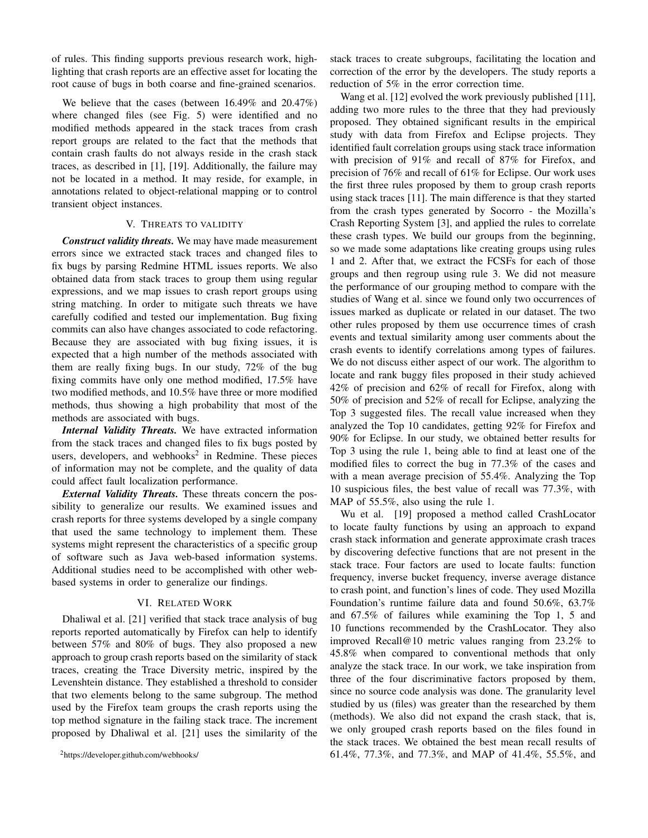of rules. This finding supports previous research work, highlighting that crash reports are an effective asset for locating the root cause of bugs in both coarse and fine-grained scenarios.

We believe that the cases (between 16.49% and 20.47%) where changed files (see Fig. 5) were identified and no modified methods appeared in the stack traces from crash report groups are related to the fact that the methods that contain crash faults do not always reside in the crash stack traces, as described in [1], [19]. Additionally, the failure may not be located in a method. It may reside, for example, in annotations related to object-relational mapping or to control transient object instances.

## V. THREATS TO VALIDITY

*Construct validity threats.* We may have made measurement errors since we extracted stack traces and changed files to fix bugs by parsing Redmine HTML issues reports. We also obtained data from stack traces to group them using regular expressions, and we map issues to crash report groups using string matching. In order to mitigate such threats we have carefully codified and tested our implementation. Bug fixing commits can also have changes associated to code refactoring. Because they are associated with bug fixing issues, it is expected that a high number of the methods associated with them are really fixing bugs. In our study, 72% of the bug fixing commits have only one method modified, 17.5% have two modified methods, and 10.5% have three or more modified methods, thus showing a high probability that most of the methods are associated with bugs.

*Internal Validity Threats.* We have extracted information from the stack traces and changed files to fix bugs posted by users, developers, and webhooks<sup>2</sup> in Redmine. These pieces of information may not be complete, and the quality of data could affect fault localization performance.

*External Validity Threats.* These threats concern the possibility to generalize our results. We examined issues and crash reports for three systems developed by a single company that used the same technology to implement them. These systems might represent the characteristics of a specific group of software such as Java web-based information systems. Additional studies need to be accomplished with other webbased systems in order to generalize our findings.

#### VI. RELATED WORK

Dhaliwal et al. [21] verified that stack trace analysis of bug reports reported automatically by Firefox can help to identify between 57% and 80% of bugs. They also proposed a new approach to group crash reports based on the similarity of stack traces, creating the Trace Diversity metric, inspired by the Levenshtein distance. They established a threshold to consider that two elements belong to the same subgroup. The method used by the Firefox team groups the crash reports using the top method signature in the failing stack trace. The increment proposed by Dhaliwal et al. [21] uses the similarity of the stack traces to create subgroups, facilitating the location and correction of the error by the developers. The study reports a reduction of 5% in the error correction time.

Wang et al. [12] evolved the work previously published [11], adding two more rules to the three that they had previously proposed. They obtained significant results in the empirical study with data from Firefox and Eclipse projects. They identified fault correlation groups using stack trace information with precision of 91% and recall of 87% for Firefox, and precision of 76% and recall of 61% for Eclipse. Our work uses the first three rules proposed by them to group crash reports using stack traces [11]. The main difference is that they started from the crash types generated by Socorro - the Mozilla's Crash Reporting System [3], and applied the rules to correlate these crash types. We build our groups from the beginning, so we made some adaptations like creating groups using rules 1 and 2. After that, we extract the FCSFs for each of those groups and then regroup using rule 3. We did not measure the performance of our grouping method to compare with the studies of Wang et al. since we found only two occurrences of issues marked as duplicate or related in our dataset. The two other rules proposed by them use occurrence times of crash events and textual similarity among user comments about the crash events to identify correlations among types of failures. We do not discuss either aspect of our work. The algorithm to locate and rank buggy files proposed in their study achieved 42% of precision and 62% of recall for Firefox, along with 50% of precision and 52% of recall for Eclipse, analyzing the Top 3 suggested files. The recall value increased when they analyzed the Top 10 candidates, getting 92% for Firefox and 90% for Eclipse. In our study, we obtained better results for Top 3 using the rule 1, being able to find at least one of the modified files to correct the bug in 77.3% of the cases and with a mean average precision of 55.4%. Analyzing the Top 10 suspicious files, the best value of recall was 77.3%, with MAP of 55.5%, also using the rule 1.

Wu et al. [19] proposed a method called CrashLocator to locate faulty functions by using an approach to expand crash stack information and generate approximate crash traces by discovering defective functions that are not present in the stack trace. Four factors are used to locate faults: function frequency, inverse bucket frequency, inverse average distance to crash point, and function's lines of code. They used Mozilla Foundation's runtime failure data and found 50.6%, 63.7% and 67.5% of failures while examining the Top 1, 5 and 10 functions recommended by the CrashLocator. They also improved Recall@10 metric values ranging from 23.2% to 45.8% when compared to conventional methods that only analyze the stack trace. In our work, we take inspiration from three of the four discriminative factors proposed by them, since no source code analysis was done. The granularity level studied by us (files) was greater than the researched by them (methods). We also did not expand the crash stack, that is, we only grouped crash reports based on the files found in the stack traces. We obtained the best mean recall results of 61.4%, 77.3%, and 77.3%, and MAP of 41.4%, 55.5%, and

<sup>2</sup>https://developer.github.com/webhooks/